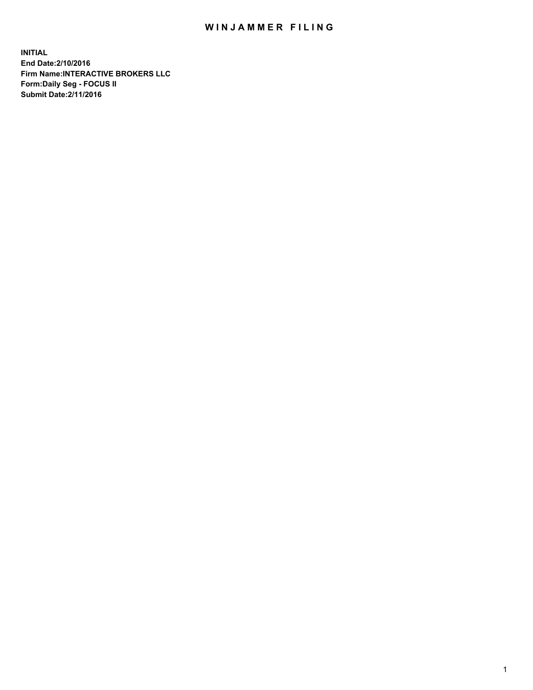## WIN JAMMER FILING

**INITIAL End Date:2/10/2016 Firm Name:INTERACTIVE BROKERS LLC Form:Daily Seg - FOCUS II Submit Date:2/11/2016**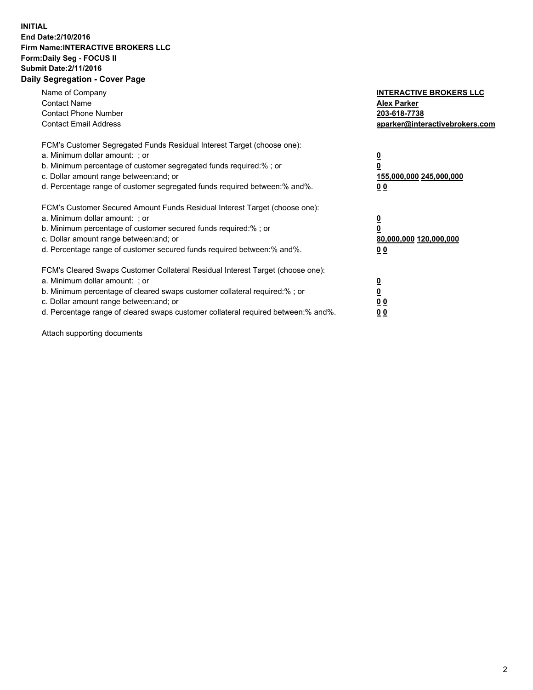## **INITIAL End Date:2/10/2016 Firm Name:INTERACTIVE BROKERS LLC Form:Daily Seg - FOCUS II Submit Date:2/11/2016 Daily Segregation - Cover Page**

| Name of Company<br><b>Contact Name</b><br><b>Contact Phone Number</b><br><b>Contact Email Address</b>                                                                                                                                                                                                                          | <b>INTERACTIVE BROKERS LLC</b><br><b>Alex Parker</b><br>203-618-7738<br>aparker@interactivebrokers.com |
|--------------------------------------------------------------------------------------------------------------------------------------------------------------------------------------------------------------------------------------------------------------------------------------------------------------------------------|--------------------------------------------------------------------------------------------------------|
| FCM's Customer Segregated Funds Residual Interest Target (choose one):<br>a. Minimum dollar amount: ; or<br>b. Minimum percentage of customer segregated funds required:% ; or<br>c. Dollar amount range between: and; or<br>d. Percentage range of customer segregated funds required between:% and%.                         | <u>0</u><br>155,000,000 245,000,000<br><u>00</u>                                                       |
| FCM's Customer Secured Amount Funds Residual Interest Target (choose one):<br>a. Minimum dollar amount: ; or<br>b. Minimum percentage of customer secured funds required:% ; or<br>c. Dollar amount range between: and; or<br>d. Percentage range of customer secured funds required between:% and%.                           | <u>0</u><br>80,000,000 120,000,000<br>0 <sub>0</sub>                                                   |
| FCM's Cleared Swaps Customer Collateral Residual Interest Target (choose one):<br>a. Minimum dollar amount: ; or<br>b. Minimum percentage of cleared swaps customer collateral required:% ; or<br>c. Dollar amount range between: and; or<br>d. Percentage range of cleared swaps customer collateral required between:% and%. | <u>0</u><br>0 <sub>0</sub><br>0 <sub>0</sub>                                                           |

Attach supporting documents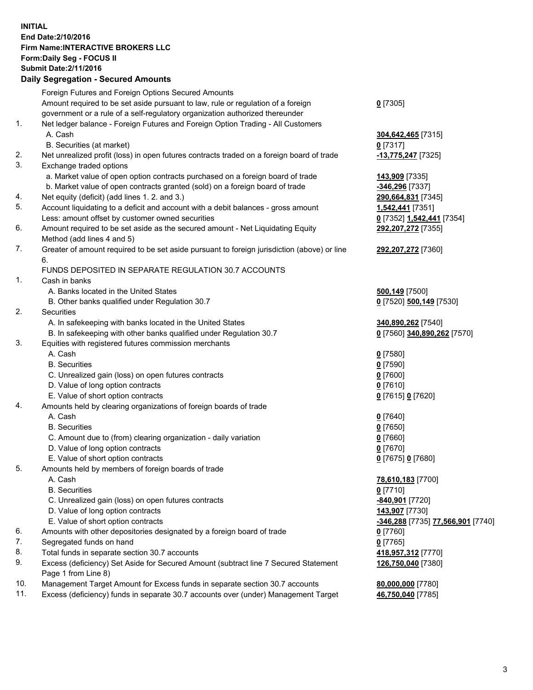## **INITIAL End Date:2/10/2016 Firm Name:INTERACTIVE BROKERS LLC Form:Daily Seg - FOCUS II Submit Date:2/11/2016 Daily Segregation - Secured Amounts**

|     | Daily Ocglegation - Occarea Anioants                                                        |                                   |
|-----|---------------------------------------------------------------------------------------------|-----------------------------------|
|     | Foreign Futures and Foreign Options Secured Amounts                                         |                                   |
|     | Amount required to be set aside pursuant to law, rule or regulation of a foreign            | $0$ [7305]                        |
|     | government or a rule of a self-regulatory organization authorized thereunder                |                                   |
| 1.  | Net ledger balance - Foreign Futures and Foreign Option Trading - All Customers             |                                   |
|     | A. Cash                                                                                     | 304,642,465 [7315]                |
|     | B. Securities (at market)                                                                   | $0$ [7317]                        |
| 2.  | Net unrealized profit (loss) in open futures contracts traded on a foreign board of trade   | -13,775,247 [7325]                |
| 3.  | Exchange traded options                                                                     |                                   |
|     | a. Market value of open option contracts purchased on a foreign board of trade              | 143,909 [7335]                    |
|     | b. Market value of open contracts granted (sold) on a foreign board of trade                | -346,296 [7337]                   |
| 4.  | Net equity (deficit) (add lines 1.2. and 3.)                                                | 290,664,831 [7345]                |
| 5.  | Account liquidating to a deficit and account with a debit balances - gross amount           | 1,542,441 [7351]                  |
|     | Less: amount offset by customer owned securities                                            | 0 [7352] 1,542,441 [7354]         |
| 6.  | Amount required to be set aside as the secured amount - Net Liquidating Equity              | 292,207,272 [7355]                |
|     | Method (add lines 4 and 5)                                                                  |                                   |
| 7.  | Greater of amount required to be set aside pursuant to foreign jurisdiction (above) or line | 292,207,272 [7360]                |
|     | 6.                                                                                          |                                   |
|     | FUNDS DEPOSITED IN SEPARATE REGULATION 30.7 ACCOUNTS                                        |                                   |
| 1.  | Cash in banks                                                                               |                                   |
|     | A. Banks located in the United States                                                       | 500,149 [7500]                    |
|     | B. Other banks qualified under Regulation 30.7                                              | 0 [7520] 500,149 [7530]           |
| 2.  | Securities                                                                                  |                                   |
|     | A. In safekeeping with banks located in the United States                                   | 340,890,262 [7540]                |
|     | B. In safekeeping with other banks qualified under Regulation 30.7                          | 0 [7560] 340,890,262 [7570]       |
| 3.  | Equities with registered futures commission merchants                                       |                                   |
|     | A. Cash                                                                                     | $0$ [7580]                        |
|     | <b>B.</b> Securities                                                                        | $0$ [7590]                        |
|     | C. Unrealized gain (loss) on open futures contracts                                         | $0$ [7600]                        |
|     | D. Value of long option contracts                                                           | $0$ [7610]                        |
|     | E. Value of short option contracts                                                          | 0 [7615] 0 [7620]                 |
| 4.  | Amounts held by clearing organizations of foreign boards of trade                           |                                   |
|     | A. Cash                                                                                     | $0$ [7640]                        |
|     | <b>B.</b> Securities                                                                        | $0$ [7650]                        |
|     | C. Amount due to (from) clearing organization - daily variation                             | $0$ [7660]                        |
|     | D. Value of long option contracts                                                           | $0$ [7670]                        |
|     | E. Value of short option contracts                                                          | 0 [7675] 0 [7680]                 |
| 5.  | Amounts held by members of foreign boards of trade                                          |                                   |
|     | A. Cash                                                                                     | 78,610,183 [7700]                 |
|     | <b>B.</b> Securities                                                                        | $0$ [7710]                        |
|     | C. Unrealized gain (loss) on open futures contracts                                         | -840,901 [7720]                   |
|     | D. Value of long option contracts                                                           | 143,907 [7730]                    |
|     | E. Value of short option contracts                                                          | -346,288 [7735] 77,566,901 [7740] |
| 6.  | Amounts with other depositories designated by a foreign board of trade                      | 0 [7760]                          |
| 7.  | Segregated funds on hand                                                                    | $0$ [7765]                        |
| 8.  | Total funds in separate section 30.7 accounts                                               | 418,957,312 [7770]                |
| 9.  | Excess (deficiency) Set Aside for Secured Amount (subtract line 7 Secured Statement         | 126,750,040 [7380]                |
|     | Page 1 from Line 8)                                                                         |                                   |
| 10. | Management Target Amount for Excess funds in separate section 30.7 accounts                 | 80,000,000 [7780]                 |
| 11. | Excess (deficiency) funds in separate 30.7 accounts over (under) Management Target          | 46,750,040 [7785]                 |
|     |                                                                                             |                                   |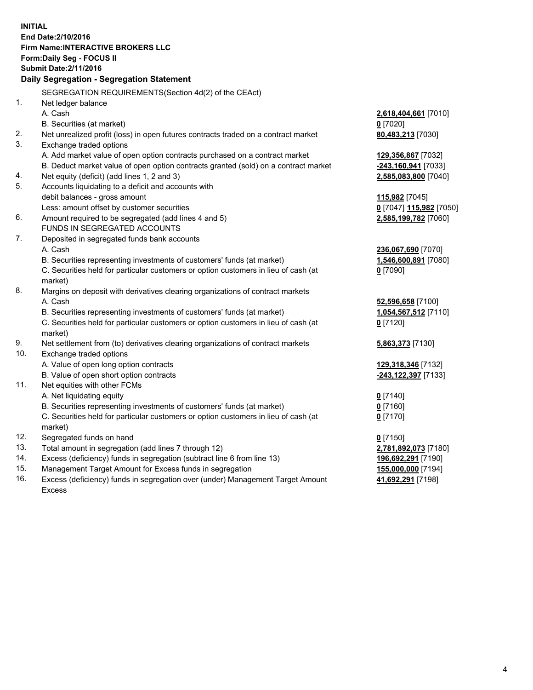**INITIAL End Date:2/10/2016 Firm Name:INTERACTIVE BROKERS LLC Form:Daily Seg - FOCUS II Submit Date:2/11/2016 Daily Segregation - Segregation Statement** SEGREGATION REQUIREMENTS(Section 4d(2) of the CEAct) 1. Net ledger balance A. Cash **2,618,404,661** [7010] B. Securities (at market) **0** [7020] 2. Net unrealized profit (loss) in open futures contracts traded on a contract market **80,483,213** [7030] 3. Exchange traded options A. Add market value of open option contracts purchased on a contract market **129,356,867** [7032] B. Deduct market value of open option contracts granted (sold) on a contract market **-243,160,941** [7033] 4. Net equity (deficit) (add lines 1, 2 and 3) **2,585,083,800** [7040] 5. Accounts liquidating to a deficit and accounts with debit balances - gross amount **115,982** [7045] Less: amount offset by customer securities **0** [7047] **115,982** [7050] 6. Amount required to be segregated (add lines 4 and 5) **2,585,199,782** [7060] FUNDS IN SEGREGATED ACCOUNTS 7. Deposited in segregated funds bank accounts A. Cash **236,067,690** [7070] B. Securities representing investments of customers' funds (at market) **1,546,600,891** [7080] C. Securities held for particular customers or option customers in lieu of cash (at market) **0** [7090] 8. Margins on deposit with derivatives clearing organizations of contract markets A. Cash **52,596,658** [7100] B. Securities representing investments of customers' funds (at market) **1,054,567,512** [7110] C. Securities held for particular customers or option customers in lieu of cash (at market) **0** [7120] 9. Net settlement from (to) derivatives clearing organizations of contract markets **5,863,373** [7130] 10. Exchange traded options A. Value of open long option contracts **129,318,346** [7132] B. Value of open short option contracts **-243,122,397** [7133] 11. Net equities with other FCMs A. Net liquidating equity **0** [7140] B. Securities representing investments of customers' funds (at market) **0** [7160] C. Securities held for particular customers or option customers in lieu of cash (at market) **0** [7170] 12. Segregated funds on hand **0** [7150] 13. Total amount in segregation (add lines 7 through 12) **2,781,892,073** [7180] 14. Excess (deficiency) funds in segregation (subtract line 6 from line 13) **196,692,291** [7190] 15. Management Target Amount for Excess funds in segregation **155,000,000** [7194] **41,692,291** [7198]

16. Excess (deficiency) funds in segregation over (under) Management Target Amount Excess